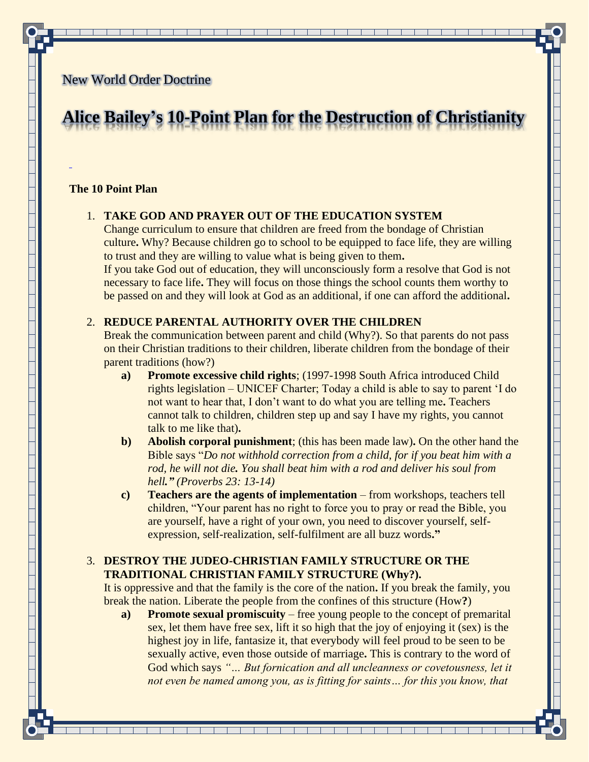# New World Order Doctrine

# **Alice Bailey's 10-Point Plan for the Destruction of Christianity**

#### **The 10 Point Plan**

## 1. **TAKE GOD AND PRAYER OUT OF THE EDUCATION SYSTEM**

Change curriculum to ensure that children are freed from the bondage of Christian culture**.** Why? Because children go to school to be equipped to face life, they are willing to trust and they are willing to value what is being given to them**.**

If you take God out of education, they will unconsciously form a resolve that God is not necessary to face life**.** They will focus on those things the school counts them worthy to be passed on and they will look at God as an additional, if one can afford the additional**.**

# 2. **REDUCE PARENTAL AUTHORITY OVER THE CHILDREN**

Break the communication between parent and child (Why?). So that parents do not pass on their Christian traditions to their children, liberate children from the bondage of their parent traditions (how?)

- **a) Promote excessive child rights**; (1997-1998 South Africa introduced Child rights legislation – UNICEF Charter; Today a child is able to say to parent 'I do not want to hear that, I don't want to do what you are telling me**.** Teachers cannot talk to children, children step up and say I have my rights, you cannot talk to me like that)**.**
- **b) Abolish corporal punishment**; (this has been made law)**.** On the other hand the Bible says "*Do not withhold correction from a child, for if you beat him with a rod, he will not die. You shall beat him with a rod and deliver his soul from hell." (Proverbs 23: 13-14)*
- **c) Teachers are the agents of implementation** from workshops, teachers tell children, "Your parent has no right to force you to pray or read the Bible, you are yourself, have a right of your own, you need to discover yourself, selfexpression, self-realization, self-fulfilment are all buzz words**."**

# 3. **DESTROY THE JUDEO-CHRISTIAN FAMILY STRUCTURE OR THE TRADITIONAL CHRISTIAN FAMILY STRUCTURE (Why?).**

It is oppressive and that the family is the core of the nation**.** If you break the family, you break the nation. Liberate the people from the confines of this structure (How**?**)

**a) Promote sexual promiscuity** – free young people to the concept of premarital sex, let them have free sex, lift it so high that the joy of enjoying it (sex) is the highest joy in life, fantasize it, that everybody will feel proud to be seen to be sexually active, even those outside of marriage**.** This is contrary to the word of God which says *"… But fornication and all uncleanness or covetousness, let it not even be named among you, as is fitting for saints... for this you know, that* 

<u> 1 de jan 1 de jan 1 de jan 1 de jan 1 de jan 1 de jan 1 de jan 1 de jan 1 de jan 1 de jan 1 de jan 1 de jan 1</u>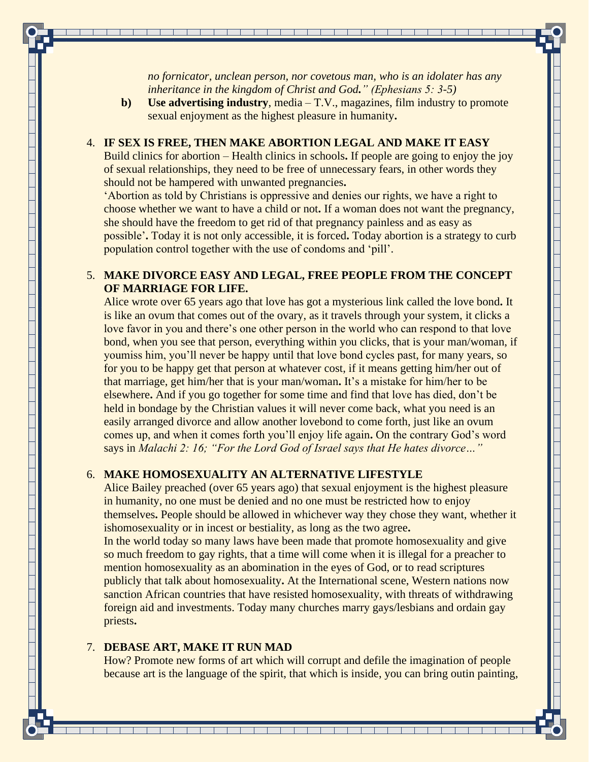*no fornicator, unclean person, nor covetous man, who is an idolater has any inheritance in the kingdom of Christ and God." (Ephesians 5: 3-5)*

**b) Use advertising industry**, media – T.V., magazines, film industry to promote sexual enjoyment as the highest pleasure in humanity**.**

### 4. **IF SEX IS FREE, THEN MAKE ABORTION LEGAL AND MAKE IT EASY**

Build clinics for abortion – Health clinics in schools**.** If people are going to enjoy the joy of sexual relationships, they need to be free of unnecessary fears, in other words they should not be hampered with unwanted pregnancies**.**

'Abortion as told by Christians is oppressive and denies our rights, we have a right to choose whether we want to have a child or not**.** If a woman does not want the pregnancy, she should have the freedom to get rid of that pregnancy painless and as easy as possible'**.** Today it is not only accessible, it is forced**.** Today abortion is a strategy to curb population control together with the use of condoms and 'pill'.

# 5. **MAKE DIVORCE EASY AND LEGAL, FREE PEOPLE FROM THE CONCEPT OF MARRIAGE FOR LIFE.**

Alice wrote over 65 years ago that love has got a mysterious link called the love bond**.** It is like an ovum that comes out of the ovary, as it travels through your system, it clicks a love favor in you and there's one other person in the world who can respond to that love bond, when you see that person, everything within you clicks, that is your man/woman, if youmiss him, you'll never be happy until that love bond cycles past, for many years, so for you to be happy get that person at whatever cost, if it means getting him/her out of that marriage, get him/her that is your man/woman**.** It's a mistake for him/her to be elsewhere**.** And if you go together for some time and find that love has died, don't be held in bondage by the Christian values it will never come back, what you need is an easily arranged divorce and allow another lovebond to come forth, just like an ovum comes up, and when it comes forth you'll enjoy life again**.** On the contrary God's word says in *Malachi 2: 16; "For the Lord God of Israel says that He hates divorce…"*

## 6. **MAKE HOMOSEXUALITY AN ALTERNATIVE LIFESTYLE**

Alice Bailey preached (over 65 years ago) that sexual enjoyment is the highest pleasure in humanity, no one must be denied and no one must be restricted how to enjoy themselves**.** People should be allowed in whichever way they chose they want, whether it ishomosexuality or in incest or bestiality, as long as the two agree**.** In the world today so many laws have been made that promote homosexuality and give so much freedom to gay rights, that a time will come when it is illegal for a preacher to mention homosexuality as an abomination in the eyes of God, or to read scriptures publicly that talk about homosexuality**.** At the International scene, Western nations now sanction African countries that have resisted homosexuality, with threats of withdrawing foreign aid and investments. Today many churches marry gays/lesbians and ordain gay priests**.**

#### 7. **DEBASE ART, MAKE IT RUN MAD**

How? Promote new forms of art which will corrupt and defile the imagination of people because art is the language of the spirit, that which is inside, you can bring outin painting,

<u> 1 de jan 1 de jan 1 de jan 1 de jan 1 de jan 1 de jan 1 de jan 1 de jan 1 de jan 1 de jan 1 de jan 1 de jan 1</u>